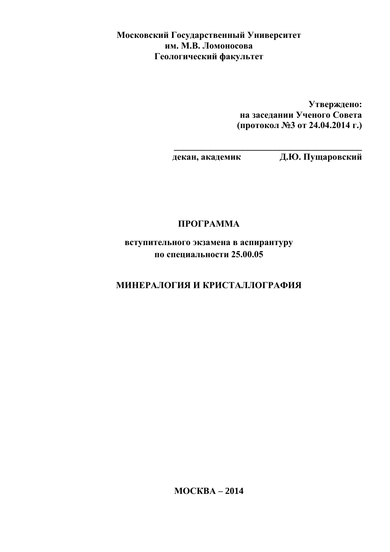Московский Государственный Университет им. М.В. Ломоносова Геологический факультет

> **Утверждено:** на заседании Ученого Совета **(протокол №3 от 24.04.2014 г.)**

**\_\_\_\_\_\_\_\_\_\_\_\_\_\_\_\_\_\_\_\_\_\_\_\_\_\_\_\_\_\_\_\_\_\_\_\_\_\_\_\_\_** 

декан, академик Д.Ю. Пущаровский

# ПРОГРАММА

**вступительного экзамена в аспирантуру** по специальности 25.00.05

# **МИНЕРАЛОГИЯ И КРИСТАЛЛОГРАФИЯ**

**MOCKBA – 2014**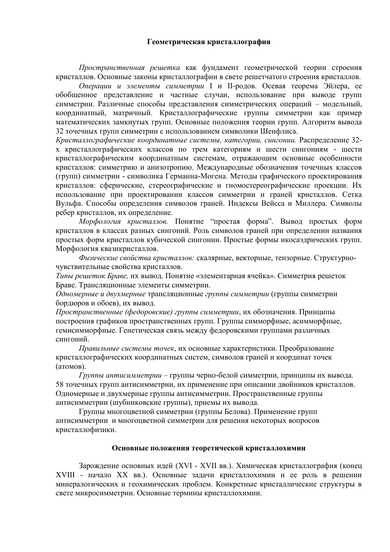#### Геометрическая кристаллография

Пространственная решетка как фундамент геометрической теории строения кристаллов. Основные законы кристаллографии в свете решетчатого строения кристаллов.

Операции и элементы симметрии I и II-родов. Осевая теорема Эйлера, ее обобщенное представление и частные случаи, использование при выводе групп симметрии. Различные способы представления симметрических операций - модельный, координатный, матричный. Кристаллографические группы симметрии как пример математических замкнутых групп. Основные положения теории групп. Алгоритм вывода 32 точечных групп симметрии с использованием символики Шенфлиса.

Кристаллографические координатные системы, категории, сингонии. Распределение 32х кристаллографических классов по трем категориям и шести сингониям - шести кристаллографическим координатным системам, отражающим основные особенности кристаллов: симметрию и анизотропию. Международные обозначения точечных классов (групп) симметрии - символика Германна-Могена. Методы графического проектирования кристаллов: сферические, стереографические и гномостереографические проекции. Их использование при проектировании классов симметрии и граней кристаллов. Сетка Вульфа. Способы определения символов граней. Индексы Вейсса и Миллера. Символы ребер кристаллов, их определение.

Морфология кристаллов. Понятие "простая форма". Вывод простых форм кристаллов в классах разных сингоний. Роль символов граней при определении названия простых форм кристаллов кубической сингонии. Простые формы икосаэдрических групп. Морфология квазикристаллов.

Физические свойства кристаллов: скалярные, векторные, тензорные. Структурночувствительные свойства кристаллов.

Типы решеток Браве, их вывод. Понятие «элементарная ячейка». Симметрия решеток Браве. Трансляционные элементы симметрии.

Одномерные и двухмерные трансляционные группы симметрии (группы симметрии бордюров и обоев), их вывод.

Пространственные (федоровские) группы симметрии, их обозначения. Принципы построения графиков пространственных групп. Группы симморфные, асимморфные, гемисимморфные. Генетическая связь между федоровскими группами различных сингоний.

Правильные системы точек, их основные характеристики. Преобразование кристаллографических координатных систем, символов граней и координат точек (атомов).

Группы антисимметрии – группы черно-белой симметрии, принципы их вывода. 58 точечных групп антисимметрии, их применение при описании двойников кристаллов. Одномерные и двухмерные группы антисимметрии. Пространственные группы антисимметрии (шубниковские группы), приемы их вывода.

Группы многоцветной симметрии (группы Белова). Применение групп антисимметрии и многоцветной симметрии для решения некоторых вопросов кристаллофизики.

#### Основные положения теоретической кристаллохимии

Зарождение основных идей (XVI - XVII вв.). Химическая кристаллография (конец XVIII - начало XX вв.). Основные задачи кристаллохимии и ее роль в решении минералогических и геохимических проблем. Конкретные кристаллические структуры в свете микросимметрии. Основные термины кристаллохимии.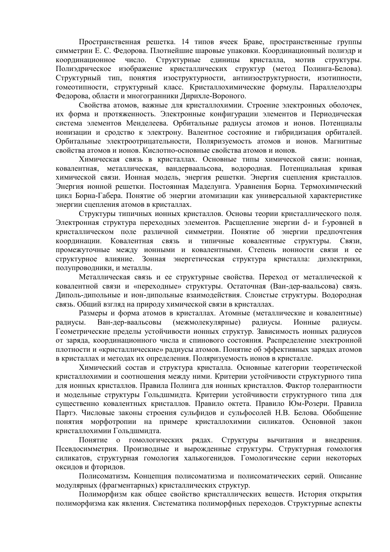Пространственная решетка. 14 типов ячеек Браве, пространственные группы симметрии Е. С. Федорова. Плотнейшие шаровые упаковки. Координационный полиэдр и координационное число. Структурные единицы кристалла. МОТИВ структуры. Полиэдрическое изображение кристаллических структур (метод Полинга-Белова). Структурный тип, понятия изоструктурности, антиизоструктурности, изотипности, гомеотипности, структурный класс. Кристаллохимические формулы. Параллелоэдры Федорова, области и многогранники Дирихле-Вороного.

Свойства атомов, важные для кристаллохимии. Строение электронных оболочек, их форма и протяженность. Электронные конфигурации элементов и Периодическая система элементов Менделеева. Орбитальные радиусы атомов и ионов. Потенциалы ионизации и сродство к электрону. Валентное состояние и гибридизация орбиталей. Орбитальные электроотрицательности. Поляризуемость атомов и ионов. Магнитные свойства атомов и ионов. Кислотно-основные свойства атомов и ионов.

Химическая связь в кристаллах. Основные типы химической связи: ионная, ковалентная, металлическая, вандерваальсова, водородная. Потенциальная кривая химической связи. Ионная модель, энергия решетки. Энергия сцепления кристаллов. Энергия ионной решетки. Постоянная Маделунга. Уравнения Борна. Термохимический цикл Борна-Габера. Понятие об энергии атомизации как универсальной характеристике энергии сцепления атомов в кристаллах.

Структуры типичных ионных кристаллов. Основы теории кристаллического поля. Электронная структура переходных элементов. Расщепление энергии d- и f-уровней в кристаллическом поле различной симметрии. Понятие об энергии предпочтения коорлинации. Ковалентная связь и типичные ковалентные структуры. Связи. промежуточные между ионными и ковалентными. Степень ионности связи и ее структурное влияние. Зонная энергетическая структура кристалла: диэлектрики, полупроводники, и металлы.

Металлическая связь и ее структурные свойства. Переход от металлической к ковалентной связи и «переходные» структуры. Остаточная (Ван-дер-ваальсова) связь. Диполь-дипольные и ион-дипольные взаимодействия. Слоистые структуры. Водородная связь. Общий взгляд на природу химической связи в кристаллах.

Размеры и форма атомов в кристаллах. Атомные (металлические и ковалентные) Ван-дер-ваальсовы (межмолекулярные) радиусы. Ионные радиусы. радиусы. Геометрические пределы устойчивости ионных структур. Зависимость ионных радиусов от заряда, координационного числа и спинового состояния. Распределение электронной плотности и «кристаллические» радиусы атомов. Понятие об эффективных зарядах атомов в кристаллах и методах их определения. Поляризуемость ионов в кристалле.

Химический состав и структура кристалла. Основные категории теоретической кристаллохимии и соотношения между ними. Критерии устойчивости структурного типа для ионных кристаллов. Правила Полинга для ионных кристаллов. Фактор толерантности и модельные структуры Гольдшмидта. Критерии устойчивости структурного типа для существенно ковалентных кристаллов. Правило октета. Правило Юм-Розери. Правила Партэ. Числовые законы строения сульфидов и сульфосолей Н.В. Белова. Обобщение понятия морфотропии на примере кристаллохимии силикатов. Основной закон кристаллохимии Гольдшмидта.

Понятие о гомологических рядах. Структуры вычитания и внедрения. Псевдосимметрия. Производные и вырожденные структуры. Структурная гомология силикатов, структурная гомология халькогенидов. Гомологические серии некоторых оксидов и фторидов.

Полисоматизм. Концепция полисоматизма и полисоматических серий. Описание модулярных (фрагментарных) кристаллических структур.

Полиморфизм как общее свойство кристаллических веществ. История открытия полиморфизма как явления. Систематика полиморфных переходов. Структурные аспекты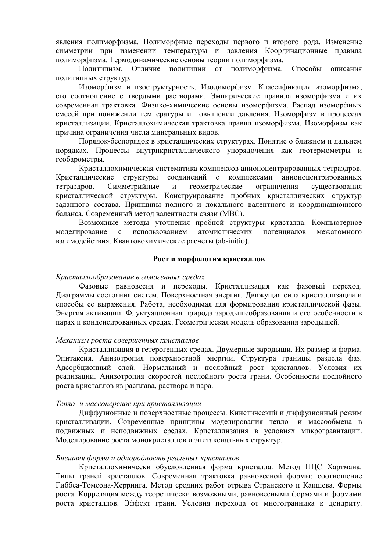явления полиморфизма. Полиморфные переходы первого и второго рода. Изменение симметрии при изменении температуры и давления Координационные правила полиморфизма. Термодинамические основы теории полиморфизма.

Политипизм. Отличие политипии от полиморфизма. Способы описания политипных структур.

Изоморфизм и изоструктурность. Изодиморфизм. Классификация изоморфизма, его соотношение с твердыми растворами. Эмпирические правила изоморфизма и их современная трактовка. Физико-химические основы изоморфизма. Распад изоморфных смесей при понижении температуры и повышении давления. Изоморфизм в процессах кристаллизации. Кристаллохимическая трактовка правил изоморфизма. Изоморфизм как причина ограничения числа минеральных видов.

Порядок-беспорядок в кристаллических структурах. Понятие о ближнем и дальнем порядках. Процессы внутрикристаллического упорядочения как геотермометры и геобарометры.

Кристаллохимическая систематика комплексов анионоцентрированных тетраэдров. Кристаллические структуры соединений  $\mathbf{c}$ комплексами анионоцентрированных тетраэдров. Симметрийные  $\overline{M}$ геометрические ограничения существования кристаллической структуры. Конструирование пробных кристаллических структур заданного состава. Принципы полного и локального валентного и координационного баланса. Современный метод валентности связи (МВС).

Возможные методы уточнения пробной структуры кристалла. Компьютерное моделирование  $\mathbf{c}$ использованием атомистических потенциалов межатомного взаимодействия. Квантовохимические расчеты (ab-initio).

#### Рост и морфология кристаллов

#### Кристаллообразование в гомогенных средах

Фазовые равновесия и переходы. Кристаллизация как фазовый переход. Диаграммы состояния систем. Поверхностная энергия. Движущая сила кристаллизации и способы ее выражения. Работа, необходимая для формирования кристаллической фазы. Энергия активации. Флуктуационная природа зародышеобразования и его особенности в парах и конденсированных средах. Геометрическая модель образования зародышей.

#### Механизм роста совершенных кристаллов

Кристаллизация в гетерогенных средах. Двумерные зародыши. Их размер и форма. Эпитаксия. Анизотропия поверхностной энергии. Структура границы раздела фаз. Адсорбционный слой. Нормальный и послойный рост кристаллов. Условия их реализации. Анизотропия скоростей послойного роста грани. Особенности послойного роста кристаллов из расплава, раствора и пара.

#### Тепло- и массоперенос при кристаллизации

Диффузионные и поверхностные процессы. Кинетический и диффузионный режим кристаллизации. Современные принципы моделирования тепло- и массообмена в подвижных и неподвижных средах. Кристаллизация в условиях микрогравитации. Моделирование роста монокристаллов и эпитаксиальных структур.

#### Внешняя форма и однородность реальных кристаллов

Кристаллохимически обусловленная форма кристалла. Метод ПЦС Хартмана. Типы граней кристаллов. Современная трактовка равновесной формы: соотношение Гиббса-Томсона-Херринга. Метод средних работ отрыва Странского и Каишева. Формы роста. Корреляция между теоретически возможными, равновесными формами и формами роста кристаллов. Эффект грани. Условия перехода от многогранника к дендриту.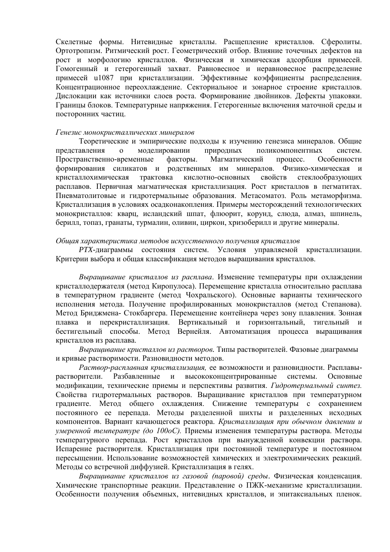Скелетные формы. Нитевидные кристаллы. Расщепление кристаллов. Сферолиты. Ортотропизм. Ритмический рост. Геометрический отбор. Влияние точечных дефектов на рост и морфологию кристаллов. Физическая и химическая адсорбция примесей. Гомогенный и гетерогенный захват. Равновесное и неравновесное распределение примесей и1087 при кристаллизации. Эффективные коэффициенты распределения. Концентрационное переохлаждение. Секториальное и зонарное строение кристаллов. Дислокации как источники слоев роста. Формирование двойников. Дефекты упаковки. Границы блоков. Температурные напряжения. Гетерогенные включения маточной среды и посторонних частиц.

#### Генезис монокристаллических минералов

Теоретические и эмпирические полхолы к изучению генезиса минералов. Обшие представления моделировании  $\overline{O}$ природных поликомпонентных систем. Пространственно-временные факторы. Магматический процесс. Особенности формирования силикатов и родственных им минералов. Физико-химическая и кристаллохимическая трактовка кислотно-основных свойств стеклообразующих расплавов. Первичная магматическая кристаллизация. Рост кристаллов в пегматитах. Пневматолитовые и гидротермальные образования. Метасоматоз. Роль метаморфизма. Кристаллизация в условиях осалконакопления. Примеры месторождений технологических монокристаллов: кварц, исландский шпат, флюорит, корунд, слюда, алмаз, шпинель, берилл, топаз, гранаты, турмалин, оливин, циркон, хризоберилл и другие минералы.

#### Обшая характеристика методов искусственного получения кристаллов

РТХ-лиаграммы состояния систем. Условия управляемой кристаллизации. Критерии выбора и общая классификация методов выращивания кристаллов.

Выращивание кристаллов из расплава. Изменение температуры при охлаждении кристаллодержателя (метод Киропулоса). Перемещение кристалла относительно расплава в температурном градиенте (метод Чохральского). Основные варианты технического исполнения метода. Получение профилированных монокристаллов (метод Степанова). Метод Бриджмена- Стокбаргера. Перемещение контейнера через зону плавления. Зонная плавка и перекристаллизация. Вертикальный и горизонтальный, тигельный  $\mathbf{M}$ бестигельный способы. Метод Вернейля. Автоматизация процесса выращивания кристаллов из расплава.

Выращивание кристаллов из растворов. Типы растворителей. Фазовые диаграммы и кривые растворимости. Разновидности методов.

Раствор-расплавная кристаллизация, ее возможности и разновидности. Расплавырастворители. Разбавленные и высококонцентрированные системы. Основные модификации, технические приемы и перспективы развития. Гидротермальный синтез. Свойства гидротермальных растворов. Выращивание кристаллов при температурном градиенте. Метод общего охлаждения. Снижение температуры с сохранением постоянного ее перепада. Методы разделенной шихты и разделенных исходных компонентов. Вариант качающегося реактора. Кристаллизация при обычном давлении и умеренной температуре (до 100оС). Приемы изменения температуры раствора. Методы температурного перепада. Рост кристаллов при вынужденной конвекции раствора. Испарение растворителя. Кристаллизация при постоянной температуре и постоянном пересыщении. Использование возможностей химических и электрохимических реакций. Методы со встречной диффузией. Кристаллизация в гелях.

Вырашивание кристаллов из газовой (паровой) среды. Физическая конденсация. Химические транспортные реакции. Представление о ПЖК-механизме кристаллизации. Особенности получения объемных, нитевидных кристаллов, и эпитаксиальных пленок.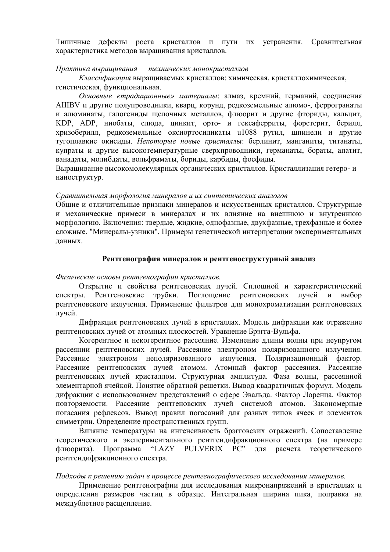Типичные дефекты роста кристаллов и пути их устранения. Сравнительная характеристика методов выращивания кристаллов.

#### Практика вырашивания технических монокристаллов

Классификация выращиваемых кристаллов: химическая, кристаллохимическая, генетическая, функциональная.

Основные «традиционные» материалы: алмаз, кремний, германий, соединения AIIIBV и другие полупроводники, кварц, корунд, редкоземельные алюмо-, феррогранаты и алюминаты, галогениды щелочных металлов, флюорит и другие фториды, кальцит, KDP, ADP, ниобаты, слюда, цинкит, орто- и гексаферриты, форстерит, берилл, хризоберилл, редкоземельные оксиортосиликаты u1088 рутил, шпинели и другие тугоплавкие окисилы. Некоторые новые кристаллы: берлинит, манганиты, титанаты, купраты и другие высокотемпературные сверхпроводники, германаты, бораты, апатит, ванадаты, молибдаты, вольфраматы, бориды, карбиды, фосфиды.

Выращивание высокомолекулярных органических кристаллов. Кристаллизация гетеро-и наноструктур.

#### Сравнительная морфология минералов и их синтетических аналогов

Обшие и отличительные признаки минералов и искусственных кристаллов. Структурные и механические примеси в минералах и их влияние на внешнюю и внутреннюю морфологию. Включения: твердые, жидкие, однофазные, двухфазные, трехфазные и более сложные. "Минералы-узники". Примеры генетической интерпретации экспериментальных ланных.

#### Рентгенография минералов и рентгеноструктурный анализ

#### Физические основы рентгенографии кристаллов.

Открытие и свойства рентгеновских лучей. Сплошной и характеристический спектры. Рентгеновские трубки. Поглощение рентгеновских лvчей  $\mathbf{M}$ выбор рентгеновского излучения. Применение фильтров для монохроматизации рентгеновских лучей.

Дифракция рентгеновских лучей в кристаллах. Модель дифракции как отражение рентгеновских лучей от атомных плоскостей. Уравнение Брэгга-Вульфа.

Когерентное и некогерентное рассеяние. Изменение длины волны при неупругом рассеянии рентгеновских лучей. Рассеяние электроном поляризованного излучения. Рассеяние электроном неполяризованного излучения. Поляризационный фактор. Рассеяние рентгеновских лучей атомом. Атомный фактор рассеяния. Рассеяние рентгеновских лучей кристаллом. Структурная амплитуда. Фаза волны, рассеянной элементарной ячейкой. Понятие обратной решетки. Вывод квадратичных формул. Модель дифракции с использованием представлений о сфере Эвальда. Фактор Лоренца. Фактор повторяемости. Рассеяние рентгеновских лучей системой атомов. Закономерные погасания рефлексов. Вывод правил погасаний для разных типов ячеек и элементов симметрии. Определение пространственных групп.

Влияние температуры на интенсивность брэгговских отражений. Сопоставление теоретического и экспериментального рентгендифракционного спектра (на примере Программа "LAZY PULVERIX PC" ДЛЯ расчета теоретического флюорита) рентгендифракционного спектра.

#### Подходы к решению задач в процессе рентгенографического исследования минералов.

Применение рентгенографии для исследования микронапряжений в кристаллах и определения размеров частиц в образце. Интегральная ширина пика, поправка на междублетное расщепление.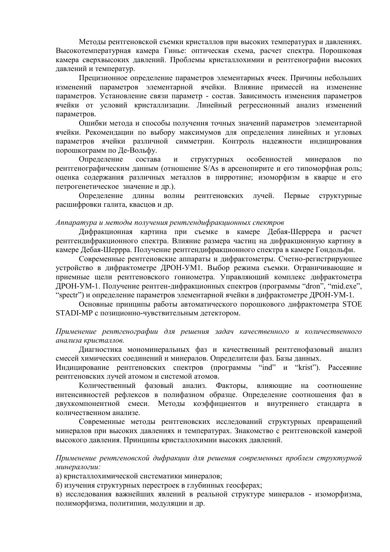Методы рентгеновской съемки кристаллов при высоких температурах и давлениях. Высокотемпературная камера Гинье: оптическая схема, расчет спектра. Порошковая камера сверхвысоких давлений. Проблемы кристаллохимии и рентгенографии высоких давлений и температур.

Прецизионное определение параметров элементарных ячеек. Причины небольших изменений параметров элементарной ячейки. Влияние примесей на изменение параметров. Установление связи параметр - состав. Зависимость изменения параметров ячейки от условий кристаллизации. Линейный регрессионный анализ изменений параметров.

Ошибки метода и способы получения точных значений параметров элементарной ячейки. Рекомендации по выбору максимумов для определения линейных и угловых параметров ячейки различной симметрии. Контроль надежности индицирования порошкограмм по Де-Вольфу.

Определение состава  $\mathbf{M}$ структурных особенностей минералов  $\overline{u}$ рентгенографическим данным (отношение S/As в арсенопирите и его типоморфная роль; оценка содержания различных металлов в пирротине; изоморфизм в кварце и его петрогенетическое значение и др.).

рентгеновских лучей. Определение длины волны Первые структурные расшифровки галита, кваснов и др.

#### Аппаратура и методы получения рентгендифракционных спектров

Дифракционная картина при съемке в камере Дебая-Шеррера и расчет рентгендифракционного спектра. Влияние размера частиц на дифракционную картину в камере Лебая-Шеррра. Получение рентгендифракционного спектра в камере Гондольфи.

Современные рентгеновские аппараты и дифрактометры. Счетно-регистрирующее устройство в дифрактометре ДРОН-УМ1. Выбор режима съемки. Ограничивающие и приемные щели рентгеновского гониометра. Управляющий комплекс дифрактометра ДРОН-УМ-1. Получение рентген-дифракционных спектров (программы "dron", "mid.exe", "spectr") и определение параметров элементарной ячейки в дифрактометре ДРОН-УМ-1.

Основные принципы работы автоматического порошкового дифрактометра STOE STADI-MP с позиционно-чувствительным детектором.

### Применение рентгенографии для решения задач качественного и количественного анализа кристаллов.

Диагностика мономинеральных фаз и качественный рентгенофазовый анализ смесей химических соелинений и минералов. Определители фаз. Базы данных.

Индицирование рентгеновских спектров (программы "ind" и "krist"). Рассеяние рентгеновских лучей атомом и системой атомов.

фазовый анализ. влияющие на соотношение Количественный Факторы, интенсивностей рефлексов в полифазном образце. Определение соотношения фаз в двухкомпонентной смеси. Методы коэффициентов и внутреннего стандарта в количественном анализе.

Современные методы рентгеновских исследований структурных превращений минералов при высоких давлениях и температурах. Знакомство с рентгеновской камерой высокого давления. Принципы кристаллохимии высоких давлений.

Применение рентгеновской дифракции для решения современных проблем структурной минералогии:

а) кристаллохимической систематики минералов;

б) изучения структурных перестроек в глубинных геосферах;

в) исследования важнейших явлений в реальной структуре минералов - изоморфизма, полиморфизма, политипии, модуляции и др.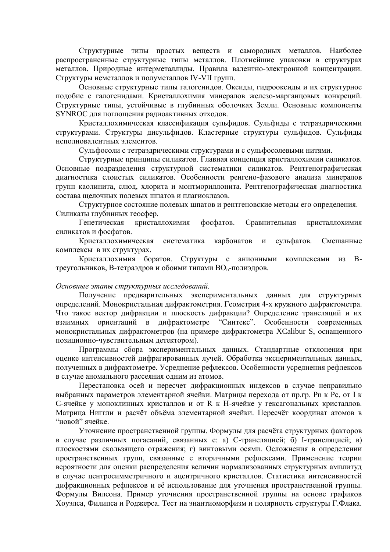Структурные типы простых веществ и самородных металлов. Наиболее распространенные структурные типы металлов. Плотнейшие упаковки в структурах металлов. Природные интерметаллиды. Правила валентно-электронной концентрации. Структуры неметаллов и полуметаллов IV-VII групп.

Основные структурные типы галогенидов. Оксиды, гидрооксиды и их структурное подобие с галогенидами. Кристаллохимия минералов железо-марганцовых конкреций. Структурные типы, устойчивые в глубинных оболочках Земли. Основные компоненты SYNROC для поглощения радиоактивных отходов.

Кристаллохимическая классификация сульфидов. Сульфиды с тетраэдрическими структурами. Структуры дисульфидов. Кластерные структуры сульфидов. Сульфиды неполновалентных элементов.

Сульфосоли с тетраэдрическими структурами и с сульфосолевыми нитями.

Структурные принципы силикатов. Главная концепция кристаллохимии силикатов. Основные подразделения структурной систематики силикатов. Рентгенографическая диагностика слоистых силикатов. Особенности ренгено-фазового анализа минералов групп каолинита, слюд, хлорита и монтмориллонита. Рентгенографическая диагностика состава щелочных полевых шпатов и плагиоклазов.

Структурное состояние полевых шпатов и рентгеновские методы его определения. Силикаты глубинных геосфер.

Генетическая кристаллохимия фосфатов. Сравнительная кристаллохимия силикатов и фосфатов.

Кристаллохимическая систематика карбонатов  $\overline{M}$ сульфатов. Смешанные комплексы в их структурах.

Кристаллохимия боратов. Структуры с анионными комплексами из Втреугольников, В-тетраэдров и обоими типами ВО<sub>n</sub>-полиэдров.

#### Основные этапы структурных исследований.

Получение предварительных экспериментальных данных для структурных определений. Монокристальная дифрактометрия. Геометрия 4-х кружного дифрактометра. Что такое вектор дифракции и плоскость дифракции? Определение трансляций и их ориентаций в дифрактометре "Синтекс". Особенности современных взаимных монокристальных дифрактометров (на примере дифрактометра XCalibur S, оснащенного позиционно-чувствительным детектором).

Программы сбора экспериментальных данных. Стандартные отклонения при оценке интенсивностей дифрагированных лучей. Обработка экспериментальных данных. полученных в дифрактометре. Усреднение рефлексов. Особенности усреднения рефлексов в случае аномального рассеяния одним из атомов.

Перестановка осей и пересчет дифракционных индексов в случае неправильно выбранных параметров элементарной ячейки. Матрицы перехода от пр.гр. Pn к Pc, от I к С-ячейке у моноклинных кристаллов и от R к H-ячейке у гексагональных кристаллов. Матрица Ниггли и расчёт объёма элементарной ячейки. Пересчёт координат атомов в "новой" ячейке.

Уточнение пространственной группы. Формулы для расчёта структурных факторов в случае различных погасаний, связанных с: а) С-трансляцией; б) І-трансляцией; в) плоскостями скользящего отражения; г) винтовыми осями. Осложнения в определении пространственных групп, связанные с вторичными рефлексами. Применение теории вероятности для оценки распределения величин нормализованных структурных амплитуд в случае центросимметричного и ацентричного кристаллов. Статистика интенсивностей дифракционных рефлексов и её использование для уточнения пространственной группы. Формулы Вилсона. Пример уточнения пространственной группы на основе графиков Хоуэлса, Филипса и Роджерса. Тест на энантиоморфизм и полярность структуры Г.Флака.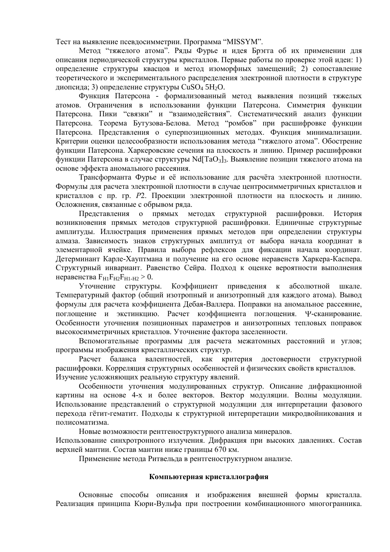Тест на выявление псевдосимметрии. Программа "MISSYM".

Метод "тяжелого атома". Ряды Фурье и идея Брэгга об их применении для описания периодической структуры кристаллов. Первые работы по проверке этой идеи: 1) определение структуры квасцов и метод изоморфных замещений; 2) сопоставление теоретического и экспериментального распределения электронной плотности в структуре диопсида; 3) определение структуры CuSO<sub>4</sub> 5H<sub>2</sub>O.

Функция Патерсона - формализованный метод выявления позиций тяжелых атомов. Ограничения в использовании функции Патерсона. Симметрия функции Патерсона. Пики "связки" и "взаимодействия". Систематический анализ функции Патерсона. Теорема Бутузова-Белова. Метод "ромбов" при расшифровке функции Патерсона. Представления о суперпозиционных методах. Функция минимализации. Критерии оценки целесообразности использования метола "тяжелого атома". Обострение функции Патерсона. Харкеровские сечения на плоскость и линию. Пример расшифровки функции Патерсона в случае структуры Nd[TaO<sub>3</sub>]<sub>3</sub>. Выявление позиции тяжелого атома на основе эффекта аномального рассеяния.

Трансформанта Фурье и её использование для расчёта электронной плотности. Формулы для расчета электронной плотности в случае центросимметричных кристаллов и кристаллов с пр. гр. Р2. Проекции электронной плотности на плоскость и линию. Осложнения, связанные с обрывом ряда.

Представления о прямых методах структурной расшифровки. История возникновения прямых методов структурной расшифровки. Единичные структурные амплитуды. Иллюстрация применения прямых методов при определении структуры алмаза. Зависимость знаков структурных амплитул от выбора начала коорлинат в элементарной ячейке. Правила выбора рефлексов для фиксации начала координат. Детерминант Карле-Хауптмана и получение на его основе неравенств Харкера-Каспера. Структурный инвариант. Равенство Сейра. Подход к оценке вероятности выполнения неравенства  $F_{H1}F_{H2}F_{H1-H2} > 0$ .

Уточнение структуры. Коэффициент приведения к абсолютной шкале. Температурный фактор (общий изотропный и анизотропный для каждого атома). Вывод формулы для расчета коэффициента Дебая-Валлера. Поправки на аномальное рассеяние, поглощение и экстинкцию. Расчет коэффициента поглощения. Ч-сканирование. Особенности уточнения позиционных параметров и анизотропных тепловых поправок высокосимметричных кристаллов. Уточнение фактора заселенности.

Вспомогательные программы для расчета межатомных расстояний и углов; программы изображения кристаллических структур.

Расчет баланса валентностей, как критерия достоверности структурной расшифровки. Корреляция структурных особенностей и физических свойств кристаллов. Изучение усложняющих реальную структуру явлений.

Особенности уточнения модулированных структур. Описание дифракционной картины на основе 4-х и более векторов. Вектор модуляции. Волны модуляции. Использование представлений о структурной модуляции для интерпретации фазового перехода гётит-гематит. Подходы к структурной интерпретации микродвойникования и полисоматизма.

Новые возможности рентгеноструктурного анализа минералов. Использование синхротронного излучения. Дифракция при высоких давлениях. Состав верхней мантии. Состав мантии ниже границы 670 км.

Применение метода Ритвельда в рентгеноструктурном анализе.

#### Компьютерная кристаллография

Основные способы описания и изображения внешней формы кристалла. Реализация принципа Кюри-Вульфа при построении комбинационного многогранника.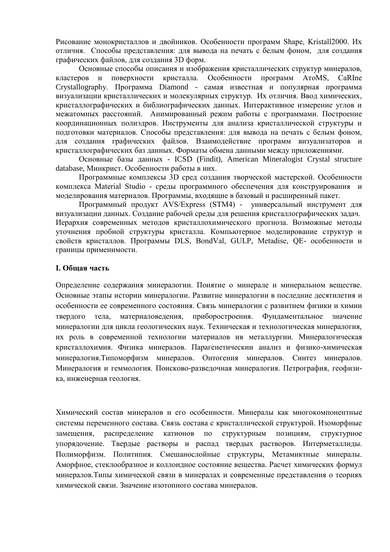Рисование монокристаллов и двойников. Особенности программ Shape, Kristall2000. Их отличия. Способы представления: для вывода на печать с белым фоном, для создания графических файлов, для создания 3D форм.

Основные способы описания и изображения кристаллических структур минералов, кластеров поверхности кристалла. Особенности программ ATOMS. CaRIne  $\mathbf{M}$ Crystallography. Программа Diamond - самая известная и популярная программа визуализации кристаллических и молекулярных структур. Их отличия. Ввод химических, кристаллографических и библиографических данных. Интерактивное измерение углов и межатомных расстояний. Анимированный режим работы с программами. Построение координационных полиэдров. Инструменты для анализа кристаллической структуры и подготовки материалов. Способы представления: для вывода на печать с белым фоном, для создания графических файлов. Взаимодействие программ визуализаторов и кристаллографических баз данных. Форматы обмена данными между приложениями.

Основные базы данных - ICSD (Findit), American Mineralogist Crystal structure database, Минкрист. Особенности работы в них.

Программные комплексы 3D сред создания творческой мастерской. Особенности комплекса Material Studio - среды программного обеспечения для конструирования и моделирования материалов. Программы, входящие в базовый и расширенный пакет.

Программный продукт AVS/Express (STM4) - универсальный инструмент для визуализации данных. Создание рабочей среды для решения кристаллографических задач. Иерархия современных методов кристаллохимического прогноза. Возможные методы уточнения пробной структуры кристалла. Компьютерное моделирование структур и свойств кристаллов. Программы DLS, BondVal, GULP, Metadise, OE- особенности и границы применимости.

## **І. Общая часть**

Определение содержания минералогии. Понятие о минерале и минеральном веществе. Основные этапы истории минералогии. Развитие минералогии в последние десятилетия и особенности ее современного состояния. Связь минералогии с развитием физики и химии материаловедения, твердого тела, приборостроения. Фундаментальное значение минералогии для цикла геологических наук. Техническая и технологическая минералогия, их роль в современной технологии материалов ив металлургии. Минералогическая кристаллохимия. Физика минералов. Парагенетическии анализ и физико-химическая минералогия. Типоморфизм минералов. Онтогения минералов. Синтез минералов. Минералогия и геммология. Поисково-разведочная минералогия. Петрография, геофизика, инженерная геология.

Химический состав минералов и его особенности. Минералы как многокомпонентные системы переменного состава. Связь состава с кристаллической структурой. Изоморфные замещения, распределение катионов по структурным позициям, структурное упорядочение. Твердые растворы и распад твердых растворов. Интерметаллиды. Полиморфизм. Политипия. Смешанослойные структуры, Метамиктные минералы. Аморфное, стеклообразное и коллоидное состояние вещества. Расчет химических формул минералов. Типы химической связи в минералах и современные представления о теориях химической связи. Значение изотопного состава минералов.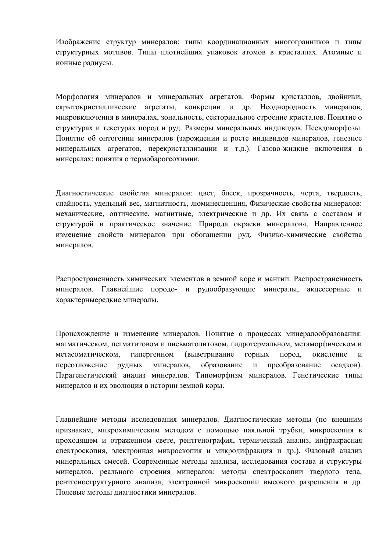Изображение структур минералов: типы координационных многогранников и типы структурных мотивов. Типы плотнейших упаковок атомов в кристаллах. Атомные и ионные радиусы.

Морфология минералов и минеральных агрегатов. Формы кристаллов, двойники, скрытокристаллические агрегаты, конкреции и др. Неоднородность минералов, микровключения в минералах, зональность, секториальное строение кристалов. Понятие о структурах и текстурах пород и руд. Размеры минеральных индивидов. Псевдоморфозы. Понятие об онтогении минералов (зарождении и росте индивидов минералов, генезисе минеральных агрегатов, перекристаллизации и т.д.). Газово-жилкие включения в минералах; понятия о термобарогеохимии.

Диагностические свойства минералов: цвет, блеск, прозрачность, черта, твердость, спайность, удельный вес, магнитность, люминесценция, Физические свойства минералов: механические, оптические, магнитные, электрические и др. Их связь с составом и структурой и практическое значение. Природа окраски минералов«, Направленное изменение свойств минералов при обогащении руд. Физико-химические свойства минералов.

Распространенность химических элементов в земной коре и мантии. Распространенность минералов. Главнейшие породо- и рудообразующие минералы, акцессорные и характерныередкие минералы.

Происхождение и изменение минералов. Понятие о процессах минералообразования: магматическом, пегматитовом и пневматолитовом, гидротермальном, метаморфическом и (выветривание окисление метасоматическом, гипергенном горных пород,  $\overline{M}$ образование переотложение рудных минералов.  $\mathbf{M}$ преобразование осалков). Парагенетическяй анализ минералов. Типоморфизм минералов. Генетические типы минералов и их эволюция в истории земной коры.

Главнейшие методы исследования минералов. Диагностические методы (по внешним признакам, микрохимическим методом с помощью паяльной трубки, микроскопия в проходящем и отраженном свете, рентгенография, термический анализ, инфракрасная спектроскопия, электронная микроскопия и микролифракция и др.). Фазовый анализ минеральных смесей. Современные методы анализа, исследования состава и структуры минералов, реального строения минералов: методы спектроскопии твердого тела, рентгеноструктурного анализа, электронной микроскопии высокого разрешения и др. Полевые методы диагностики минералов.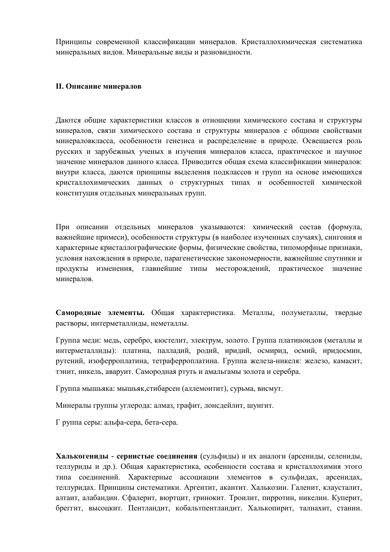Принципы современной классификации минералов. Кристаллохимическая систематика минеральных видов. Минеральные виды и разновидности.

# **II. Описание минералов**

Даются общие характеристики классов в отношении химического состава и структуры минералов, связи химического состава и структуры минералов с общими свойствами минераловкласса, особенности генезиса и распределение в природе. Освещается роль русских и зарубежных ученых в изучения минералов класса, практическое и научное значение минералов данного класса. Приводится общая схема классификации минералов: внутри класса, даются принципы выделения подклассов и групп на основе имеющихся кристаллохимических данных о структурных типах и особенностей химической конституция отдельных минеральных групп.

При описании отдельных минералов указываются: химический состав (формула, важнейшие примеси), особенности структуры (в наиболее изученных случаях), сингония и характерные кристаллографические формы, физические свойства, типоморфные признаки, условия нахождения в природе, парагенетические закономерности, важнейшие спутники и продукты изменения, главнейшие типы месторождений, практическое значение минералов.

Самородные элементы. Общая характеристика. Металлы, полуметаллы, твердые растворы, интерметаллиды, неметаллы.

Группа меди: медь, серебро, кюстелит, электрум, золото. Группа платиноидов (металлы и интерметаллиды): платина, палладий, родий, иридий, осмирид, осмий, иридосмин, рутений, изоферроплатина, тетраферроплатина. Группа железа-никеля: железо, камасит, тэнит, никель, аваруит. Самородная ртуть и амальгамы золота и серебра.

Группа мышьяка: мышьяк, стибарсен (аллемонтит), сурьма, висмут.

Минералы группы углерода: алмаз, графит, лонсдейлит, шунгит.

Г руппа серы: альфа-сера, бета-сера.

Халькогенилы - сернистые соелинения (сульфилы) и их аналоги (арсенилы, селенилы, теллуриды и др.). Общая характеристика, особенности состава и кристаллохимия этого типа соединений. Характерные ассоциации элементов в сульфидах, арсенидах, теллуридах. Принципы систематики. Аргентит, акантит. Халькозин. Галенит, клаусталит, алтаит, алабандин. Сфалерит, вюртцит, гринокит. Троилит, пирротин, никелин. Куперит, бреггит, высоцкит. Пентландит, кобальтпентландит. Халькопирит, талнахит, станин.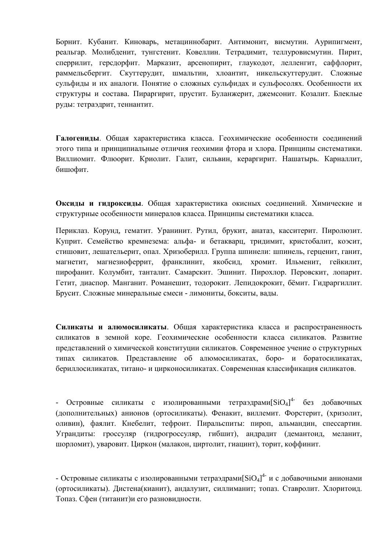Борнит. Кубанит. Киноварь, метациннобарит. Антимонит, висмутин. Аурипигмент, реальгар. Молибденит, тунгстенит. Ковеллин. Тетрадимит, теллуровисмутин. Пирит, сперрилит, герсдорфит. Марказит, арсенопирит, глаукодот, лелленгит, саффлорит, раммельсбергит. Скуттерудит, шмальтин, хлоантит, никельскуттерудит. Сложные сульфиды и их аналоги. Понятие о сложных сульфидах и сульфосолях. Особенности их структуры и состава. Пираргирит, прустит. Буланжерит, джемсонит. Козалит. Блеклые руды: тетраэдрит, теннантит.

Галогениды. Общая характеристика класса. Геохимические особенности соединений этого типа и принципиальные отличия геохимии фтора и хлора. Принципы систематики. Виллиомит. Флюорит. Криолит. Галит, сильвин, кераргирит. Нашатырь. Карналлит, бишофит.

Оксиды и гидроксиды. Общая характеристика окисных соединений. Химические и структурные особенности минералов класса. Принципы систематики класса.

Периклаз. Корунд, гематит. Уранинит. Рутил, брукит, анатаз, касситерит. Пиролюзит. Куприт. Семейство кремнезема: альфа- и бетакварц, тридимит, кристобалит, коэсит, стишовит, лешательерит, опал. Хризоберилл. Группа шпинели: шпинель, герценит, ганит, магнетит, магнезиоферрит, франклинит, якобсид, хромит. Ильменит, гейкилит, пирофанит. Колумбит, танталит. Самарскит. Эшинит. Пирохлор. Перовскит, лопарит. Гетит, диаспор. Манганит. Романешит, тодорокит. Лепидокрокит, бёмит. Гидраргиллит. Брусит. Сложные минеральные смеси - лимониты, бокситы, валы.

Силикаты и алюмосиликаты. Обшая характеристика класса и распространенность силикатов в земной коре. Геохимические особенности класса силикатов. Развитие представлений о химической конституции силикатов. Современное учение о структурных типах силикатов. Представление об алюмосиликатах, боро- и боратосиликатах, бериллосиликатах, титано- и цирконосиликатах. Современная классификация силикатов.

- Островные силикаты с изолированными тетраэдрами $[\text{SiO}_4]^{4-}$  без добавочных (дополнительных) анионов (ортосиликаты). Фенакит, виллемит, Форстерит, (хризолит, оливин), фаялит. Кнебелит, тефроит. Пиральспиты: пироп, альмандин, спессартин. Уграндиты: гроссуляр (гидрогроссуляр, гибшит), андрадит (демантоид, меланит, шорломит), уваровит. Циркон (малакон, циртолит, гиацинт), торит, коффинит.

- Островные силикаты с изолированными тетраэдрами $[SiO<sub>4</sub>]$ <sup>4-</sup> и с добавочными анионами (ортосиликаты). Дистена(кианит), андалузит, силлиманит; топаз. Ставролит. Хлоритоид. Топаз. Сфен (титанит)и его разновидности.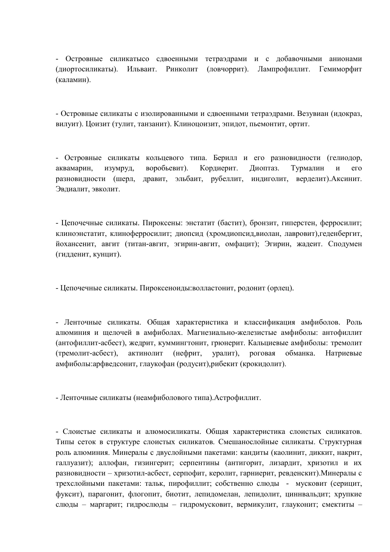- Островные силикатысо сдвоенными тетраэдрами и с добавочными анионами (диортосиликаты). Ильваит. Ринколит (ловчоррит). Лампрофиллит. Гемиморфит (каламин).

- Островные силикаты с изолированными и сдвоенными тетраэдрами. Везувиан (идокраз, вилуит). Цоизит (тулит, танзанит). Клиноцоизит, эпидот, пьемонтит, ортит.

- Островные силикаты кольцевого типа. Берилл и его разновидности (гелиодор, аквамарин, воробьевит). Кордиерит. Диоптаз. Турмалин изумруд,  $\overline{\mathbf{M}}$  $ero$ разновидности (шерл, дравит, эльбаит, рубеллит, индиголит, верделит). Аксинит. Эвдиалит, эвколит.

- Цепочечные силикаты. Пироксены: энстатит (бастит), бронзит, гиперстен, ферросилит; клиноэнстатит, клиноферросилит; диопсид (хромдиопсид,виолан, лавровит),геденбергит, йохансенит, авгит (титан-авгит, эгирин-авгит, омфацит); Эгирин, жадеит. Сподумен (гидденит, кунцит).

- Цепочечные силикаты. Пироксеноиды:волластонит, родонит (орлец).

- Ленточные силикаты. Общая характеристика и классификация амфиболов. Роль алюминия и щелочей в амфиболах. Магнезиально-железистые амфиболы: антофиллит (антофиллит-асбест), жедрит, куммингтонит, грюнерит. Кальциевые амфиболы: тремолит актинолит (нефрит, (тремолит-асбест). уралит). роговая обманка. Натриевые амфиболы:арфведсонит, глаукофан (родусит), рибекит (крокидолит).

- Ленточные силикаты (неамфиболового типа). Астрофиллит.

- Слоистые силикаты и алюмосиликаты. Общая характеристика слоистых силикатов. Типы сеток в структуре слоистых силикатов. Смешанослойные силикаты. Структурная роль алюминия. Минералы с двуслойными пакетами: кандиты (каолинит, диккит, накрит, галлуазит); аллофан, гизингерит; серпентины (антигорит, лизардит, хризотил и их разновидности - хризотил-асбест, серпофит, керолит, гарниерит, ревденскит). Минералы с трехслойными пакетами: тальк, пирофиллит; собственно слюды - мусковит (серицит, фуксит), парагонит, флогопит, биотит, лепидомелан, лепидолит, циннвальдит; хрупкие слюды - маргарит; гидрослюды - гидромусковит, вермикулит, глауконит; смектиты -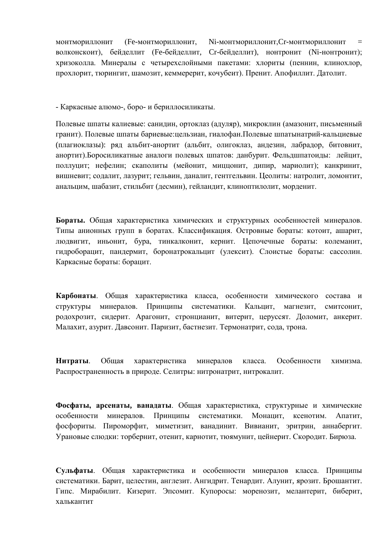МОНТМОРИЛЛОНИТ (Ге-монтмориллонит, Ni-монтмориллонит, Cr-монтмориллонит волконскоит), бейделлит (Ге-бейделлит, Ст-бейделлит), нонтронит (Ni-нонтронит); хризоколла. Минералы с четырехслойными пакетами: хлориты (пеннин, клинохлор, прохлорит, тюрингит, шамозит, кеммерерит, кочубеит). Пренит. Апофиллит. Датолит.

- Каркасные алюмо-, боро- и бериллосиликаты.

Полевые шпаты калиевые: санидин, ортоклаз (адуляр), микроклин (амазонит, письменный гранит). Полевые шпаты бариевые: цельзиан, гиалофан.Полевые шпатынатрий-кальциевые (плагиоклазы): ряд альбит-анортит (альбит, олигоклаз, андезин, лабрадор, битовнит, анортит). Боросиликатные аналоги полевых шпатов: данбурит. Фельдшпатоиды: лейцит, поллуцит; нефелин; скаполиты (мейонит, миццонит, дипир, мариолит); канкринит, вишневит; содалит, лазурит; гельвин, даналит, гентгельвин. Цеолиты: натролит, ломонтит, анальцим, шабазит, стильбит (десмин), гейландит, клиноптилолит, морденит.

Бораты. Обшая характеристика химических и структурных особенностей минералов. Типы анионных групп в боратах. Классификация. Островные бораты: котоит, ашарит, людвигит, иньонит, бура, тинкалконит, кернит. Цепочечные бораты: колеманит, гидроборацит, пандермит, боронатрокальцит (улексит). Слоистые бораты: сассолин. Каркасные бораты: борацит.

Карбонаты. Общая характеристика класса, особенности химического состава и структуры минералов. Принципы систематики. Кальцит, магнезит, смитсонит, родохрозит, сидерит. Арагонит, стронцианит, витерит, церуссят. Доломит, анкерит. Малахит, азурит, Лавсонит, Паризит, бастнезит, Термонатрит, сода, трона,

Нитраты. Обшая характеристика минералов класса. Особенности химизма Распространенность в природе. Селитры: нитронатрит, нитрокалит.

Фосфаты, арсенаты, ванадаты. Общая характеристика, структурные и химические особенности минералов. Принципы систематики. Монацит, ксенотим. Апатит. фосфориты. Пироморфит, миметизит, ванадинит. Вивианит, эритрин, аннабергит. Урановые слюдки: торбернит, отенит, карнотит, тюямунит, цейнерит. Скородит. Бирюза.

Сульфаты. Обшая характеристика и особенности минералов класса. Принципы систематики. Барит, целестин, англезит. Ангидрит. Тенардит. Алунит, ярозит. Брошантит. Гипс. Мирабилит. Кизерит. Эпсомит. Купоросы: моренозит, мелантерит, биберит, халькантит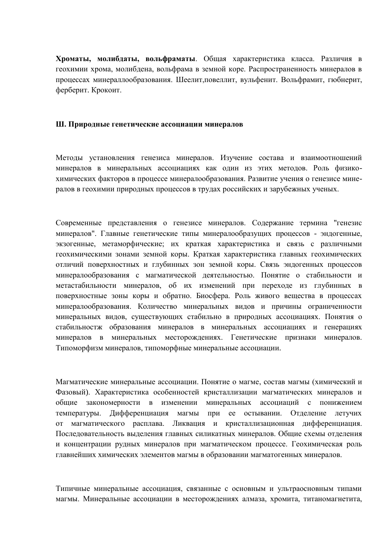Хроматы, молибдаты, вольфраматы. Общая характеристика класса. Различия в геохимии хрома, молибдена, вольфрама в земной коре. Распространенность минералов в процессах минераллообразования. Шеелит, повеллит, вульфенит. Вольфрамит, гюбнерит, ферберит. Крокоит.

#### Ш. Природные генетические ассоциации минералов

Методы установления генезиса минералов. Изучение состава и взаимоотношений минералов в минеральных ассоциациях как один из этих методов. Роль физикохимических факторов в процессе минералообразования. Развитие учения о генезисе минералов в геохимии природных процессов в трудах российских и зарубежных ученых.

Современные представления о генезисе минералов. Содержание термина "генезис минералов". Главные генетические типы минералообразущих процессов - эндогенные, экзогенные, метаморфические; их краткая характеристика и связь с различными геохимическими зонами земной коры. Краткая характеристика главных геохимических отличий поверхностных и глубинных зон земной коры. Связь эндогенных процессов минералообразования с магматической деятельностью. Понятие о стабильности и метастабильности минералов, об их изменений при переходе из глубинных в поверхностные зоны коры и обратно. Биосфера. Роль живого вещества в процессах минералообразования. Количество минеральных видов и причины ограниченности минеральных видов, существующих стабильно в природных ассоциациях. Понятия о стабильностж образования минералов в минеральных ассоциациях и генерациях минералов в минеральных месторождениях. Генетические признаки минералов. Типоморфизм минералов, типоморфные минеральные ассоциации.

Магматические минеральные ассоциации. Понятие о магме, состав магмы (химический и Фазовый). Характеристика особенностей кристаллизации магматических минералов и общие закономерности в изменении минеральных ассоциаций с понижением температуры. Дифференциация магмы при ее остывании. Отделение летучих от магматического расплава. Ликвация и кристаллизационная дифференциация. Последовательность выделения главных силикатных минералов. Общие схемы отделения и концентрации рудных минералов при магматическом процессе. Геохимическая роль главнейших химических элементов магмы в образовании магматогенных минералов.

Типичные минеральные ассоциация, связанные с основным и ультраосновным типами магмы. Минеральные ассоциации в месторождениях алмаза, хромита, титаномагнетита,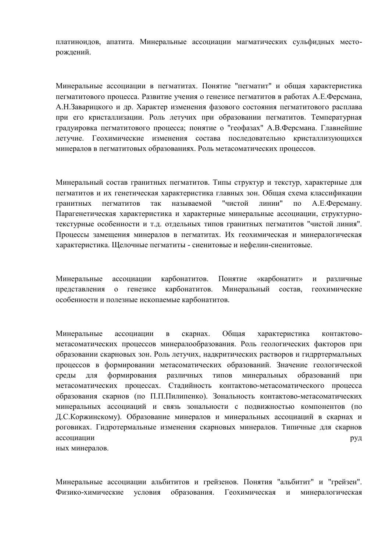платиноидов, апатита. Минеральные ассоциации магматических сульфидных месторождений.

Минеральные ассоциации в пегматитах. Понятие "пегматит" и общая характеристика пегматитового процесса. Развитие учения о генезисе пегматитов в работах А.Е.Ферсмана, А.Н.Заварицкого и др. Характер изменения фазового состояния пегматитового расплава при его кристаллизации. Роль летучих при образовании пегматитов. Температурная градуировка пегматитового процесса; понятие о "геофазах" А.В.Ферсмана. Главнейшие летучие. Геохимические изменения состава последовательно кристаллизующихся минералов в пегматитовых образованиях. Роль метасоматических процессов.

Минеральный состав гранитных пегматитов. Типы структур и текстур, характерные для пегматитов и их генетическая характеристика главных зон. Общая схема классификации "чистой гранитных пегматитов так называемой линии"  $\Pi$ <sup>O</sup> А.Е.Ферсману. Парагенетическая характеристика и характерные минеральные ассоциации, структурнотекстурные особенности и т.д. отдельных типов гранитных пегматитов "чистой линия". Процессы замешения минералов в пегматитах. Их геохимическая и минералогическая характеристика. Щелочные пегматиты - сиенитовые и нефелин-сиенитовые.

карбонатитов. Понятие Минеральные ассоциации «карбонатит» различные  $\overline{M}$ представления о генезисе карбонатитов. Минеральный состав, геохимические особенности и полезные ископаемые карбонатитов.

Общая Минеральные ассоциации скарнах. характеристика  $\, {\bf B}$ контактовометасоматических процессов минералообразования. Роль геологических факторов при образовании скарновых зон. Роль летучих, надкритических растворов и гидрртермальных процессов в формировании метасоматических образований. Значение геологической среды ДЛЯ формирования различных типов минеральных образований при метасоматических процессах. Стадийность контактово-метасоматического процесса образования скарнов (по П.П.Пилипенко). Зональность контактово-метасоматических минеральных ассоциаций и связь зональности с подвижностью компонентов (по Д.С.Коржинскому). Образование минералов и минеральных ассоциаций в скарнах и роговиках. Гилротермальные изменения скарновых минералов. Типичные лля скарнов ассоциации руд ных минералов.

Минеральные ассоциации альбититов и грейзенов. Понятия "альбитит" и "грейзен". Физико-химические условия образования. Геохимическая  $\mathbf{M}$ минералогическая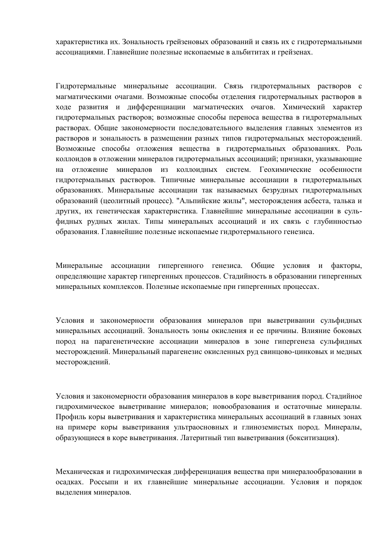характеристика их. Зональность грейзеновых образований и связь их с гидротермальными ассоциациями. Главнейшие полезные ископаемые в альбититах и грейзенах.

Гидротермальные минеральные ассоциации. Связь гидротермальных растворов с магматическими очагами. Возможные способы отделения гидротермальных растворов в ходе развития и дифференциации магматических очагов. Химический характер гидротермальных растворов; возможные способы переноса вещества в гидротермальных растворах. Общие закономерности последовательного выделения главных элементов из растворов и зональность в размещении разных типов гидротермальных месторождений. Возможные способы отложения вещества в гидротермальных образованиях. Роль коллоидов в отложении минералов гидротермальных ассоциаций; признаки, указывающие на отложение минералов из коллоидных систем. Геохимические особенности гидротермальных растворов. Типичные минеральные ассоциации в гидротермальных образованиях. Минеральные ассоциации так называемых безрудных гидротермальных образований (цеолитный процесс). "Альпийские жилы", месторождения асбеста, талька и других, их генетическая характеристика. Главнейшие минеральные ассоциации в сульфидных рудных жилах. Типы минеральных ассоциаций и их связь с глубинностью образования. Главнейшие полезные ископаемые гидротермального генезиса.

Минеральные ассоциации гипергенного генезиса. Общие условия и факторы, определяющие характер гипергенных процессов. Стадийность в образовании гипергенных минеральных комплексов. Полезные ископаемые при гипергенных процессах.

Условия и закономерности образования минералов при выветривании сульфидных минеральных ассоциаций. Зональность зоны окисления и ее причины. Влияние боковых пород на парагенетические ассоциации минералов в зоне гипергенеза сульфидных месторождений. Минеральный парагенезис окисленных руд свинцово-цинковых и медных месторождений.

Условия и закономерности образования минералов в коре выветривания пород. Стадийное гидрохимическое выветривание минералов; новообразования и остаточные минералы. Профиль коры выветривания и характеристика минеральных ассоциаций в главных зонах на примере коры выветривания ультраосновных и глиноземистых пород. Минералы, образующиеся в коре выветривания. Латеритный тип выветривания (бокситизация).

Механическая и гидрохимическая дифференциация вещества при минералообразовании в осадках. Россыпи и их главнейшие минеральные ассоциации. Условия и порядок выделения минералов.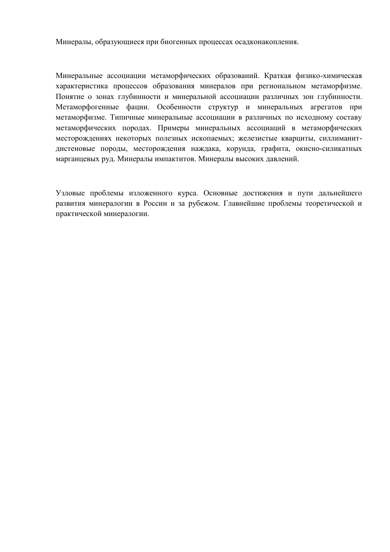Минералы, образующиеся при биогенных процессах осадконакопления.

Минеральные ассоциации метаморфических образований. Краткая физико-химическая характеристика процессов образования минералов при региональном метаморфизме. Понятие о зонах глубинности и минеральной ассоциации различных зон глубинности. Метаморфогенные фации. Особенности структур и минеральных агрегатов при метаморфизме. Типичные минеральные ассоциации в различных по исходному составу метаморфических породах. Примеры минеральных ассоциаций в метаморфических месторождениях некоторых полезных ископаемых; железистые кварциты, силлиманитдистеновые породы, месторождения наждака, корунда, графита, окисно-силикатных марганцевых руд. Минералы импактитов. Минералы высоких давлений.

Узловые проблемы изложенного курса. Основные достижения и пути дальнейшего развития минералогии в России и за рубежом. Главнейшие проблемы теоретической и практической минералогии.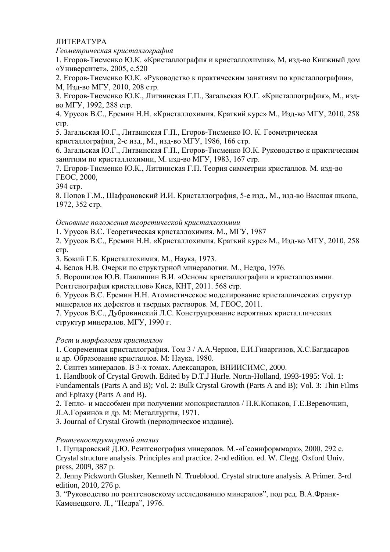# ЛИТЕРАТУРА

Геометрическая кристаллография

1. Егоров-Тисменко Ю.К. «Кристаллография и кристаллохимия», М, изд-во Книжный дом «Университет», 2005, с.520

2. Егоров-Тисменко Ю.К. «Руководство к практическим занятиям по кристаллографии»,

М, Изд-во МГУ, 2010, 208 стр.

3. Егоров-Тисменко Ю.К., Литвинская Г.П., Загальская Ю.Г. «Кристаллография», М., издво МГУ, 1992, 288 стр.

4. Урусов В.С., Еремин Н.Н. «Кристаллохимия, Краткий курс» М., Изд-во МГУ, 2010, 258 CTD.

5. Загальская Ю.Г., Литвинская Г.П., Егоров-Тисменко Ю. К. Геометрическая

кристаллография. 2-е изд., М., изд-во МГУ, 1986, 166 стр.

6. Загальская Ю.Г., Литвинская Г.П., Егоров-Тисменко Ю.К. Руководство к практическим занятиям по кристаллохимии, М. изд-во МГУ, 1983, 167 стр.

7. Егоров-Тисменко Ю.К., Литвинская Г.П. Теория симметрии кристаллов. М. изд-во TEOC, 2000,

394 стр.

8. Попов Г.М., Шафрановский И.И. Кристаллография, 5-е изд., М., изд-во Высшая школа, 1972. 352 стр.

# Основные положения теоретической кристаллохимии

1. Урусов В.С. Теоретическая кристаллохимия. М., МГУ, 1987

2. Урусов В.С., Еремин Н.Н. «Кристаллохимия, Краткий курс» М., Изд-во МГУ, 2010, 258 CTD.

3. Бокий Г.Б. Кристаллохимия. М., Наука, 1973.

4. Белов Н.В. Очерки по структурной минералогии. М., Недра, 1976.

5. Ворошилов Ю.В. Павлишин В.И. «Основы кристаллографии и кристаллохимии.

Рентгенография кристаллов» Киев, КНТ, 2011. 568 стр.

6. Урусов В.С. Еремин Н.Н. Атомистическое моделирование кристаллических структур минералов их дефектов и твердых растворов. М, ГЕОС, 2011.

7. Урусов В.С., Дубровинский Л.С. Конструирование вероятных кристаллических структур минералов. МГУ, 1990 г.

# Рост и морфология кристаллов

1. Современная кристаллография. Том 3 / А.А.Чернов, Е.И.Гиваргизов, Х.С.Багдасаров и др. Образование кристаллов. М: Наука, 1980.

2. Синтез минералов. В 3-х томах. Александров, ВНИИСИМС, 2000.

1. Handbook of Crystal Growth. Edited by D.T.J Hurle. Nortn-Holland, 1993-1995: Vol. 1: Fundamentals (Parts A and B); Vol. 2: Bulk Crystal Growth (Parts A and B); Vol. 3: Thin Films and Epitaxy (Parts A and B).

2. Тепло- и массобмен при получении монокристаллов / П.К.Конаков, Г.Е.Веревочкин,

Л.А.Горяинов и др. М: Металлургия, 1971.

3. Journal of Crystal Growth (периодическое издание).

# Рентгеноструктурный анализ

1. Пушаровский Л.Ю. Рентгенография минералов. М.-«Геоинформмарк», 2000, 292 с. Crystal structure analysis. Principles and practice. 2-nd edition. ed. W. Clegg. Oxford Univ. press, 2009, 387 p.

2. Jenny Pickworth Glusker, Kenneth N. Trueblood. Crystal structure analysis. A Primer. 3-rd edition, 2010, 276 p.

3. "Руководство по рентгеновскому исследованию минералов", под ред. В.А.Франк-Каменецкого. Л., "Недра", 1976.